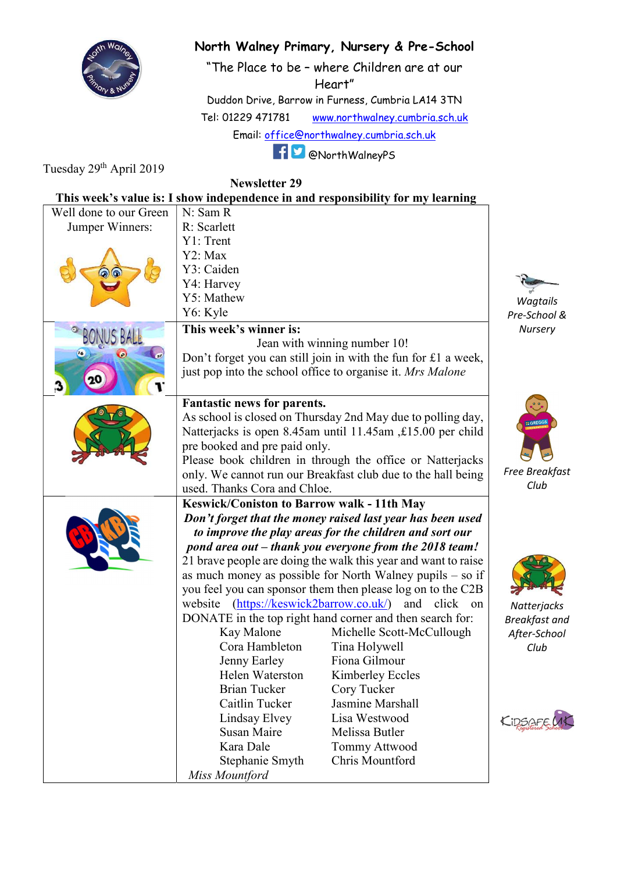

## North Walney Primary, Nursery & Pre-School

"The Place to be – where Children are at our Heart"

Duddon Drive, Barrow in Furness, Cumbria LA14 3TN

Tel: 01229 471781 www.northwalney.cumbria.sch.uk

Email: office@northwalney.cumbria.sch.uk

@NorthWalneyPS

Tuesday 29<sup>th</sup> April 2019

Newsletter 29

|                        |                                                                                                                                                                                                                               | This week's value is: I show independence in and responsibility for my learning       |                      |
|------------------------|-------------------------------------------------------------------------------------------------------------------------------------------------------------------------------------------------------------------------------|---------------------------------------------------------------------------------------|----------------------|
| Well done to our Green | N: Sam R                                                                                                                                                                                                                      |                                                                                       |                      |
| Jumper Winners:        | R: Scarlett                                                                                                                                                                                                                   |                                                                                       |                      |
|                        | Y1: Trent                                                                                                                                                                                                                     |                                                                                       |                      |
|                        | Y2: Max                                                                                                                                                                                                                       |                                                                                       |                      |
|                        | Y3: Caiden                                                                                                                                                                                                                    |                                                                                       |                      |
|                        | Y4: Harvey                                                                                                                                                                                                                    |                                                                                       |                      |
|                        | Y5: Mathew                                                                                                                                                                                                                    |                                                                                       | Wagtails             |
|                        | Y6: Kyle                                                                                                                                                                                                                      |                                                                                       | Pre-School &         |
|                        | This week's winner is:<br>Nursery                                                                                                                                                                                             |                                                                                       |                      |
|                        | Jean with winning number 10!                                                                                                                                                                                                  |                                                                                       |                      |
|                        | Don't forget you can still join in with the fun for £1 a week,                                                                                                                                                                |                                                                                       |                      |
|                        |                                                                                                                                                                                                                               | just pop into the school office to organise it. Mrs Malone                            |                      |
|                        | Fantastic news for parents.                                                                                                                                                                                                   |                                                                                       |                      |
|                        | As school is closed on Thursday 2nd May due to polling day,                                                                                                                                                                   | <b>GREGO</b>                                                                          |                      |
|                        | Natterjacks is open 8.45am until 11.45am, £15.00 per child                                                                                                                                                                    |                                                                                       |                      |
|                        | pre booked and pre paid only.                                                                                                                                                                                                 |                                                                                       |                      |
|                        | Please book children in through the office or Natterjacks                                                                                                                                                                     |                                                                                       |                      |
|                        | only. We cannot run our Breakfast club due to the hall being                                                                                                                                                                  |                                                                                       | Free Breakfast       |
|                        | used. Thanks Cora and Chloe.                                                                                                                                                                                                  |                                                                                       | Club                 |
|                        | Keswick/Coniston to Barrow walk - 11th May<br>Don't forget that the money raised last year has been used<br>to improve the play areas for the children and sort our<br>pond area out – thank you everyone from the 2018 team! |                                                                                       |                      |
|                        |                                                                                                                                                                                                                               |                                                                                       |                      |
|                        |                                                                                                                                                                                                                               |                                                                                       |                      |
|                        |                                                                                                                                                                                                                               |                                                                                       |                      |
|                        | 21 brave people are doing the walk this year and want to raise                                                                                                                                                                |                                                                                       |                      |
|                        | as much money as possible for North Walney pupils $-$ so if<br>you feel you can sponsor them then please log on to the C2B<br>(https://keswick2barrow.co.uk/)<br>and click<br>on                                              |                                                                                       |                      |
|                        |                                                                                                                                                                                                                               |                                                                                       |                      |
|                        | website                                                                                                                                                                                                                       | Natterjacks                                                                           |                      |
|                        | Kay Malone                                                                                                                                                                                                                    | DONATE in the top right hand corner and then search for:<br>Michelle Scott-McCullough | <b>Breakfast and</b> |
|                        | Cora Hambleton                                                                                                                                                                                                                | Tina Holywell                                                                         | After-School<br>Club |
|                        | Jenny Earley                                                                                                                                                                                                                  | Fiona Gilmour                                                                         |                      |
|                        | Helen Waterston                                                                                                                                                                                                               | Kimberley Eccles                                                                      |                      |
|                        | <b>Brian Tucker</b>                                                                                                                                                                                                           | Cory Tucker                                                                           |                      |
|                        | Caitlin Tucker                                                                                                                                                                                                                | Jasmine Marshall                                                                      |                      |
|                        | Lindsay Elvey                                                                                                                                                                                                                 | Lisa Westwood                                                                         |                      |
|                        | <b>Susan Maire</b>                                                                                                                                                                                                            | Melissa Butler                                                                        | KIDSAFE              |
|                        | Kara Dale                                                                                                                                                                                                                     | <b>Tommy Attwood</b>                                                                  |                      |
|                        |                                                                                                                                                                                                                               |                                                                                       |                      |
|                        |                                                                                                                                                                                                                               |                                                                                       |                      |
|                        | Stephanie Smyth<br>Miss Mountford                                                                                                                                                                                             | Chris Mountford                                                                       |                      |